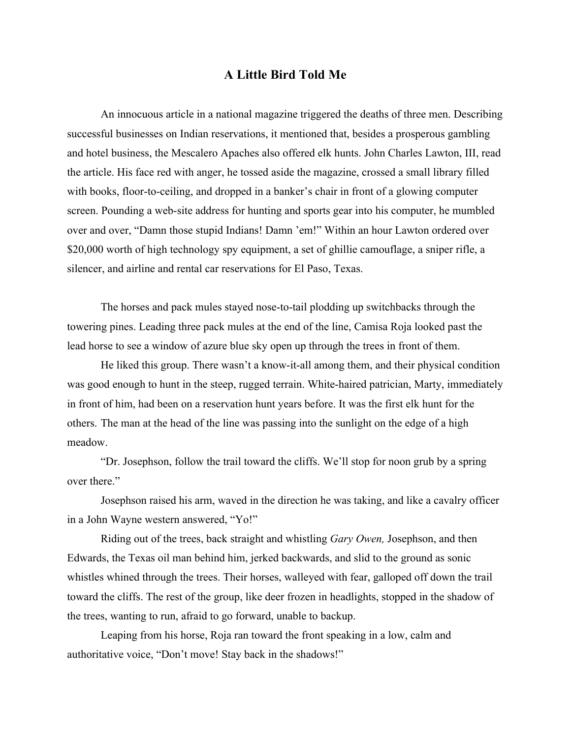An innocuous article in a national magazine triggered the deaths of three men. Describing successful businesses on Indian reservations, it mentioned that, besides a prosperous gambling and hotel business, the Mescalero Apaches also offered elk hunts. John Charles Lawton, III, read the article. His face red with anger, he tossed aside the magazine, crossed a small library filled with books, floor-to-ceiling, and dropped in a banker's chair in front of a glowing computer screen. Pounding a web-site address for hunting and sports gear into his computer, he mumbled over and over, "Damn those stupid Indians! Damn 'em!" Within an hour Lawton ordered over \$20,000 worth of high technology spy equipment, a set of ghillie camouflage, a sniper rifle, a silencer, and airline and rental car reservations for El Paso, Texas.

The horses and pack mules stayed nose-to-tail plodding up switchbacks through the towering pines. Leading three pack mules at the end of the line, Camisa Roja looked past the lead horse to see a window of azure blue sky open up through the trees in front of them.

He liked this group. There wasn't a know-it-all among them, and their physical condition was good enough to hunt in the steep, rugged terrain. White-haired patrician, Marty, immediately in front of him, had been on a reservation hunt years before. It was the first elk hunt for the others. The man at the head of the line was passing into the sunlight on the edge of a high meadow.

"Dr. Josephson, follow the trail toward the cliffs. We'll stop for noon grub by a spring over there."

Josephson raised his arm, waved in the direction he was taking, and like a cavalry officer in a John Wayne western answered, "Yo!"

Riding out of the trees, back straight and whistling *Gary Owen,* Josephson, and then Edwards, the Texas oil man behind him, jerked backwards, and slid to the ground as sonic whistles whined through the trees. Their horses, walleyed with fear, galloped off down the trail toward the cliffs. The rest of the group, like deer frozen in headlights, stopped in the shadow of the trees, wanting to run, afraid to go forward, unable to backup.

Leaping from his horse, Roja ran toward the front speaking in a low, calm and authoritative voice, "Don't move! Stay back in the shadows!"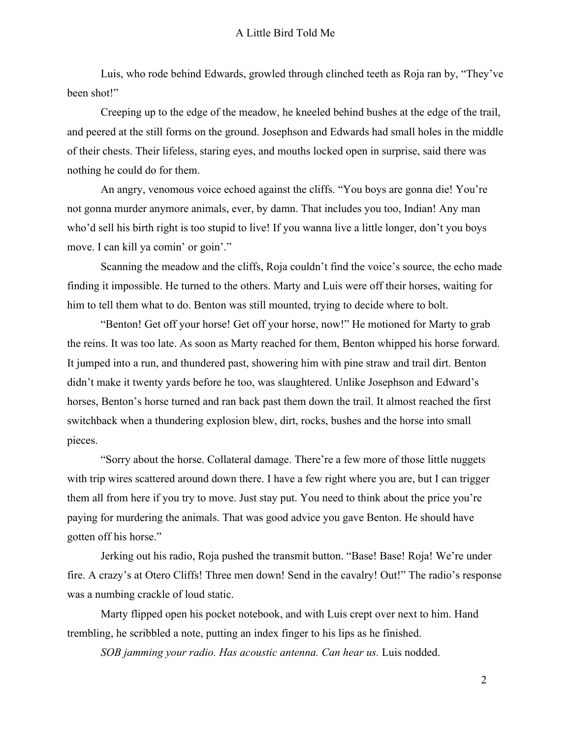Luis, who rode behind Edwards, growled through clinched teeth as Roja ran by, "They've been shot!"

Creeping up to the edge of the meadow, he kneeled behind bushes at the edge of the trail, and peered at the still forms on the ground. Josephson and Edwards had small holes in the middle of their chests. Their lifeless, staring eyes, and mouths locked open in surprise, said there was nothing he could do for them.

An angry, venomous voice echoed against the cliffs. "You boys are gonna die! You're not gonna murder anymore animals, ever, by damn. That includes you too, Indian! Any man who'd sell his birth right is too stupid to live! If you wanna live a little longer, don't you boys move. I can kill ya comin' or goin'."

Scanning the meadow and the cliffs, Roja couldn't find the voice's source, the echo made finding it impossible. He turned to the others. Marty and Luis were off their horses, waiting for him to tell them what to do. Benton was still mounted, trying to decide where to bolt.

"Benton! Get off your horse! Get off your horse, now!" He motioned for Marty to grab the reins. It was too late. As soon as Marty reached for them, Benton whipped his horse forward. It jumped into a run, and thundered past, showering him with pine straw and trail dirt. Benton didn't make it twenty yards before he too, was slaughtered. Unlike Josephson and Edward's horses, Benton's horse turned and ran back past them down the trail. It almost reached the first switchback when a thundering explosion blew, dirt, rocks, bushes and the horse into small pieces.

"Sorry about the horse. Collateral damage. There're a few more of those little nuggets with trip wires scattered around down there. I have a few right where you are, but I can trigger them all from here if you try to move. Just stay put. You need to think about the price you're paying for murdering the animals. That was good advice you gave Benton. He should have gotten off his horse."

Jerking out his radio, Roja pushed the transmit button. "Base! Base! Roja! We're under fire. A crazy's at Otero Cliffs! Three men down! Send in the cavalry! Out!" The radio's response was a numbing crackle of loud static.

Marty flipped open his pocket notebook, and with Luis crept over next to him. Hand trembling, he scribbled a note, putting an index finger to his lips as he finished.

*SOB jamming your radio. Has acoustic antenna. Can hear us.* Luis nodded.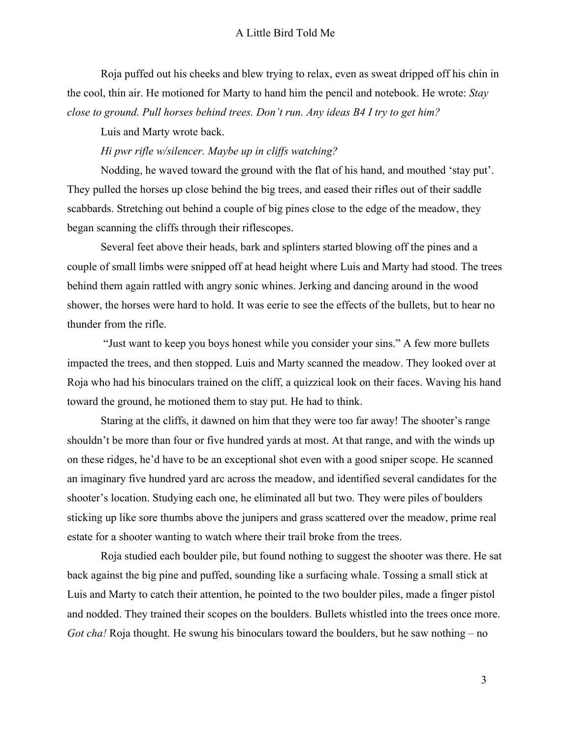Roja puffed out his cheeks and blew trying to relax, even as sweat dripped off his chin in the cool, thin air. He motioned for Marty to hand him the pencil and notebook. He wrote: *Stay close to ground. Pull horses behind trees. Don't run. Any ideas B4 I try to get him?*

Luis and Marty wrote back.

*Hi pwr rifle w/silencer. Maybe up in cliffs watching?*

Nodding, he waved toward the ground with the flat of his hand, and mouthed 'stay put'. They pulled the horses up close behind the big trees, and eased their rifles out of their saddle scabbards. Stretching out behind a couple of big pines close to the edge of the meadow, they began scanning the cliffs through their riflescopes.

Several feet above their heads, bark and splinters started blowing off the pines and a couple of small limbs were snipped off at head height where Luis and Marty had stood. The trees behind them again rattled with angry sonic whines. Jerking and dancing around in the wood shower, the horses were hard to hold. It was eerie to see the effects of the bullets, but to hear no thunder from the rifle.

 "Just want to keep you boys honest while you consider your sins." A few more bullets impacted the trees, and then stopped. Luis and Marty scanned the meadow. They looked over at Roja who had his binoculars trained on the cliff, a quizzical look on their faces. Waving his hand toward the ground, he motioned them to stay put. He had to think.

Staring at the cliffs, it dawned on him that they were too far away! The shooter's range shouldn't be more than four or five hundred yards at most. At that range, and with the winds up on these ridges, he'd have to be an exceptional shot even with a good sniper scope. He scanned an imaginary five hundred yard arc across the meadow, and identified several candidates for the shooter's location. Studying each one, he eliminated all but two. They were piles of boulders sticking up like sore thumbs above the junipers and grass scattered over the meadow, prime real estate for a shooter wanting to watch where their trail broke from the trees.

Roja studied each boulder pile, but found nothing to suggest the shooter was there. He sat back against the big pine and puffed, sounding like a surfacing whale. Tossing a small stick at Luis and Marty to catch their attention, he pointed to the two boulder piles, made a finger pistol and nodded. They trained their scopes on the boulders. Bullets whistled into the trees once more. *Got cha!* Roja thought. He swung his binoculars toward the boulders, but he saw nothing – no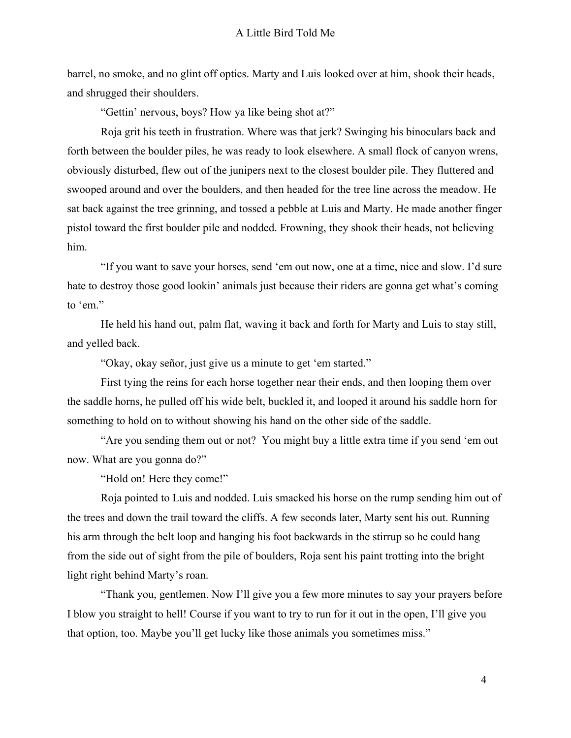barrel, no smoke, and no glint off optics. Marty and Luis looked over at him, shook their heads, and shrugged their shoulders.

"Gettin' nervous, boys? How ya like being shot at?"

Roja grit his teeth in frustration. Where was that jerk? Swinging his binoculars back and forth between the boulder piles, he was ready to look elsewhere. A small flock of canyon wrens, obviously disturbed, flew out of the junipers next to the closest boulder pile. They fluttered and swooped around and over the boulders, and then headed for the tree line across the meadow. He sat back against the tree grinning, and tossed a pebble at Luis and Marty. He made another finger pistol toward the first boulder pile and nodded. Frowning, they shook their heads, not believing him.

"If you want to save your horses, send 'em out now, one at a time, nice and slow. I'd sure hate to destroy those good lookin' animals just because their riders are gonna get what's coming to 'em."

He held his hand out, palm flat, waving it back and forth for Marty and Luis to stay still, and yelled back.

"Okay, okay señor, just give us a minute to get 'em started."

First tying the reins for each horse together near their ends, and then looping them over the saddle horns, he pulled off his wide belt, buckled it, and looped it around his saddle horn for something to hold on to without showing his hand on the other side of the saddle.

"Are you sending them out or not? You might buy a little extra time if you send 'em out now. What are you gonna do?"

"Hold on! Here they come!"

Roja pointed to Luis and nodded. Luis smacked his horse on the rump sending him out of the trees and down the trail toward the cliffs. A few seconds later, Marty sent his out. Running his arm through the belt loop and hanging his foot backwards in the stirrup so he could hang from the side out of sight from the pile of boulders, Roja sent his paint trotting into the bright light right behind Marty's roan.

"Thank you, gentlemen. Now I'll give you a few more minutes to say your prayers before I blow you straight to hell! Course if you want to try to run for it out in the open, I'll give you that option, too. Maybe you'll get lucky like those animals you sometimes miss."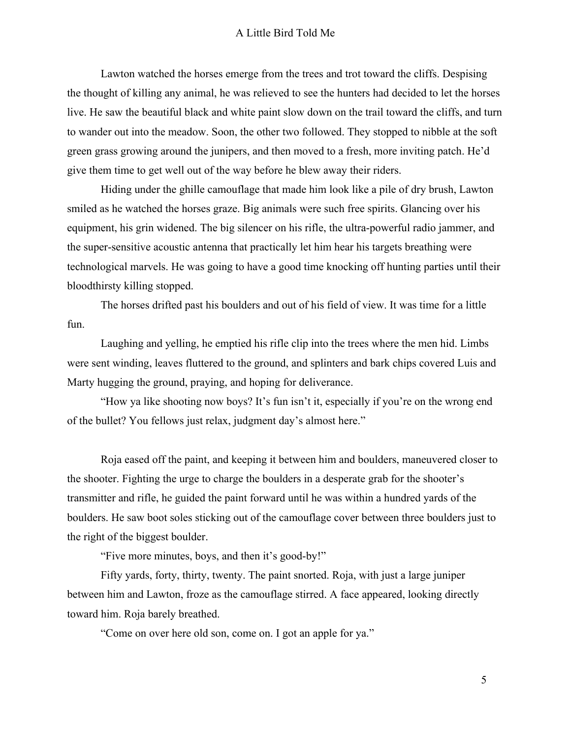Lawton watched the horses emerge from the trees and trot toward the cliffs. Despising the thought of killing any animal, he was relieved to see the hunters had decided to let the horses live. He saw the beautiful black and white paint slow down on the trail toward the cliffs, and turn to wander out into the meadow. Soon, the other two followed. They stopped to nibble at the soft green grass growing around the junipers, and then moved to a fresh, more inviting patch. He'd give them time to get well out of the way before he blew away their riders.

Hiding under the ghille camouflage that made him look like a pile of dry brush, Lawton smiled as he watched the horses graze. Big animals were such free spirits. Glancing over his equipment, his grin widened. The big silencer on his rifle, the ultra-powerful radio jammer, and the super-sensitive acoustic antenna that practically let him hear his targets breathing were technological marvels. He was going to have a good time knocking off hunting parties until their bloodthirsty killing stopped.

The horses drifted past his boulders and out of his field of view. It was time for a little fun.

Laughing and yelling, he emptied his rifle clip into the trees where the men hid. Limbs were sent winding, leaves fluttered to the ground, and splinters and bark chips covered Luis and Marty hugging the ground, praying, and hoping for deliverance.

"How ya like shooting now boys? It's fun isn't it, especially if you're on the wrong end of the bullet? You fellows just relax, judgment day's almost here."

Roja eased off the paint, and keeping it between him and boulders, maneuvered closer to the shooter. Fighting the urge to charge the boulders in a desperate grab for the shooter's transmitter and rifle, he guided the paint forward until he was within a hundred yards of the boulders. He saw boot soles sticking out of the camouflage cover between three boulders just to the right of the biggest boulder.

"Five more minutes, boys, and then it's good-by!"

Fifty yards, forty, thirty, twenty. The paint snorted. Roja, with just a large juniper between him and Lawton, froze as the camouflage stirred. A face appeared, looking directly toward him. Roja barely breathed.

"Come on over here old son, come on. I got an apple for ya."